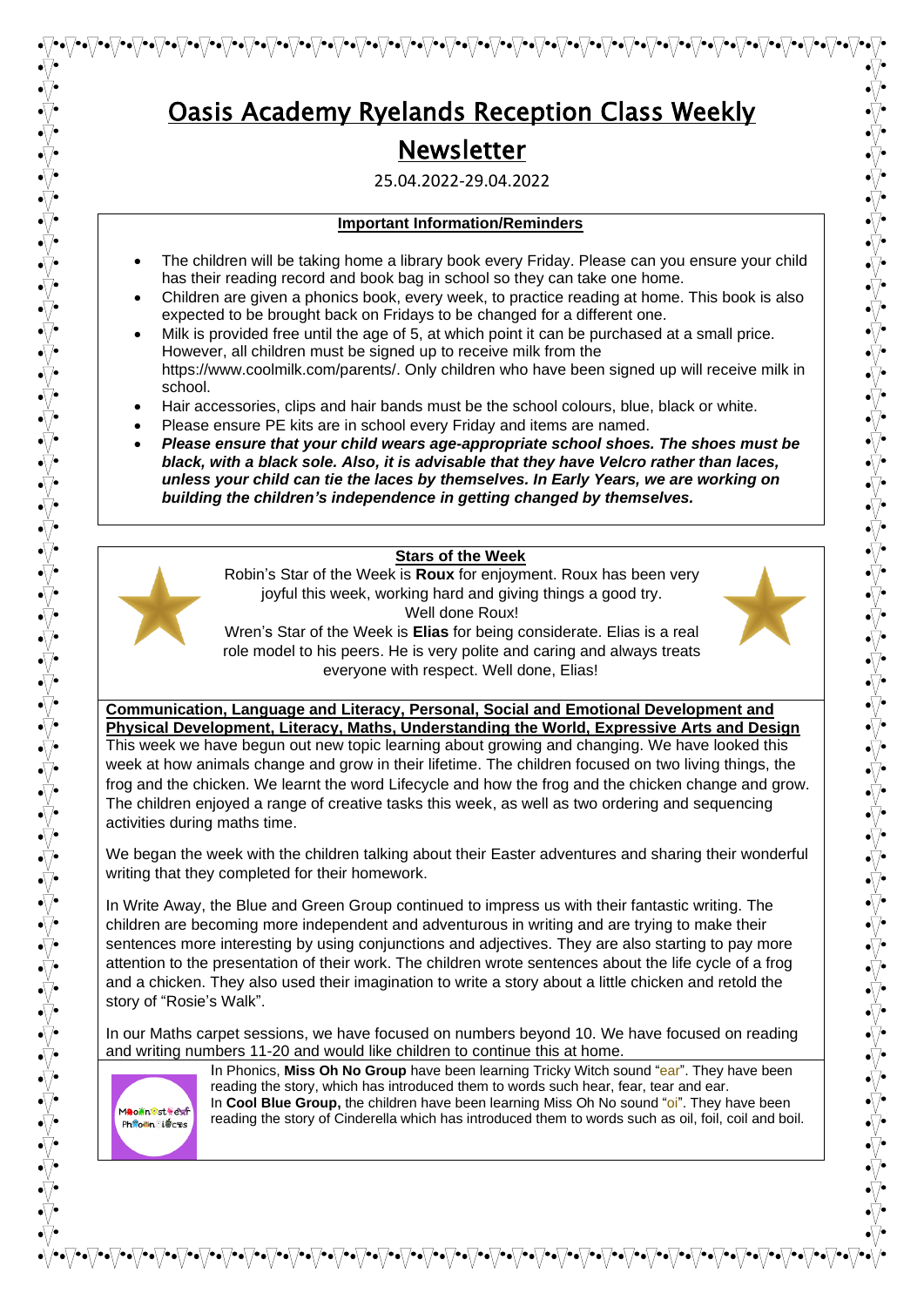25.04.2022-29.04.2022

## **Important Information/Reminders**

- The children will be taking home a library book every Friday. Please can you ensure your child has their reading record and book bag in school so they can take one home.
- Children are given a phonics book, every week, to practice reading at home. This book is also expected to be brought back on Fridays to be changed for a different one.
- Milk is provided free until the age of 5, at which point it can be purchased at a small price. However, all children must be signed up to receive milk from the https://www.coolmilk.com/parents/. Only children who have been signed up will receive milk in school.
- Hair accessories, clips and hair bands must be the school colours, blue, black or white.
- Please ensure PE kits are in school every Friday and items are named.
- *Please ensure that your child wears age-appropriate school shoes. The shoes must be black, with a black sole. Also, it is advisable that they have Velcro rather than laces, unless your child can tie the laces by themselves. In Early Years, we are working on building the children's independence in getting changed by themselves.*

#### **Stars of the Week**



Robin's Star of the Week is **Roux** for enjoyment. Roux has been very joyful this week, working hard and giving things a good try. Well done Roux!



Wren's Star of the Week is **Elias** for being considerate. Elias is a real role model to his peers. He is very polite and caring and always treats everyone with respect. Well done, Elias!

#### **Communication, Language and Literacy, Personal, Social and Emotional Development and Physical Development, Literacy, Maths, Understanding the World, Expressive Arts and Design**

This week we have begun out new topic learning about growing and changing. We have looked this week at how animals change and grow in their lifetime. The children focused on two living things, the frog and the chicken. We learnt the word Lifecycle and how the frog and the chicken change and grow. The children enjoyed a range of creative tasks this week, as well as two ordering and sequencing activities during maths time.

We began the week with the children talking about their Easter adventures and sharing their wonderful writing that they completed for their homework.

In Write Away, the Blue and Green Group continued to impress us with their fantastic writing. The children are becoming more independent and adventurous in writing and are trying to make their sentences more interesting by using conjunctions and adjectives. They are also starting to pay more attention to the presentation of their work. The children wrote sentences about the life cycle of a frog and a chicken. They also used their imagination to write a story about a little chicken and retold the story of "Rosie's Walk".

In our Maths carpet sessions, we have focused on numbers beyond 10. We have focused on reading and writing numbers 11-20 and would like children to continue this at home.



In Phonics, **Miss Oh No Group** have been learning Tricky Witch sound "ear". They have been reading the story, which has introduced them to words such hear, fear, tear and ear. In **Cool Blue Group,** the children have been learning Miss Oh No sound "oi". They have been reading the story of Cinderella which has introduced them to words such as oil, foil, coil and boil.